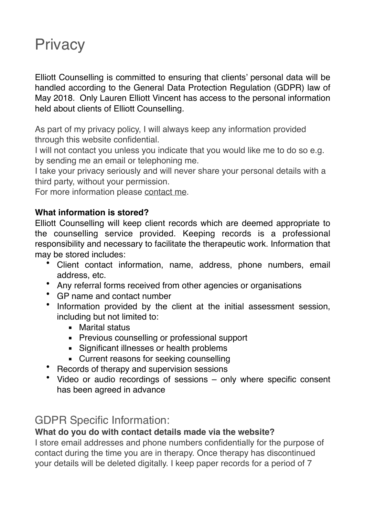# **Privacy**

Elliott Counselling is committed to ensuring that clients' personal data will be handled according to the General Data Protection Regulation (GDPR) law of May 2018. Only Lauren Elliott Vincent has access to the personal information held about clients of Elliott Counselling*.* 

As part of my privacy policy, I will always keep any information provided through this website confidential.

I will not contact you unless you indicate that you would like me to do so e.g. by sending me an email or telephoning me.

I take your privacy seriously and will never share your personal details with a third party, without your permission.

For more information please [contact me](https:/www.elliottcounselling.com/contact).

### **What information is stored?**

Elliott Counselling will keep client records which are deemed appropriate to the counselling service provided. Keeping records is a professional responsibility and necessary to facilitate the therapeutic work. Information that may be stored includes:

- Client contact information, name, address, phone numbers, email address, etc.
- Any referral forms received from other agencies or organisations
- GP name and contact number
- Information provided by the client at the initial assessment session, including but not limited to:
	- Marital status
	- Previous counselling or professional support
	- Significant illnesses or health problems
	- **EXECUTE:** Current reasons for seeking counselling
- Records of therapy and supervision sessions
- Video or audio recordings of sessions only where specific consent has been agreed in advance

# GDPR Specific Information:

## **What do you do with contact details made via the website?**

I store email addresses and phone numbers confidentially for the purpose of contact during the time you are in therapy. Once therapy has discontinued your details will be deleted digitally. I keep paper records for a period of 7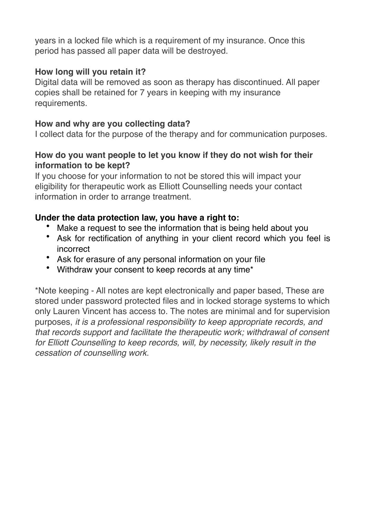years in a locked file which is a requirement of my insurance. Once this period has passed all paper data will be destroyed.

### **How long will you retain it?**

Digital data will be removed as soon as therapy has discontinued. All paper copies shall be retained for 7 years in keeping with my insurance requirements.

### **How and why are you collecting data?**

I collect data for the purpose of the therapy and for communication purposes.

### **How do you want people to let you know if they do not wish for their information to be kept?**

If you choose for your information to not be stored this will impact your eligibility for therapeutic work as Elliott Counselling needs your contact information in order to arrange treatment.

## **Under the data protection law, you have a right to:**

- Make a request to see the information that is being held about you
- Ask for rectification of anything in your client record which you feel is incorrect
- Ask for erasure of any personal information on your file
- Withdraw your consent to keep records at any time\*

\*Note keeping - All notes are kept electronically and paper based, These are stored under password protected files and in locked storage systems to which only Lauren Vincent has access to. The notes are minimal and for supervision purposes, *it is a professional responsibility to keep appropriate records, and that records support and facilitate the therapeutic work; withdrawal of consent for Elliott Counselling to keep records, will, by necessity, likely result in the cessation of counselling work.*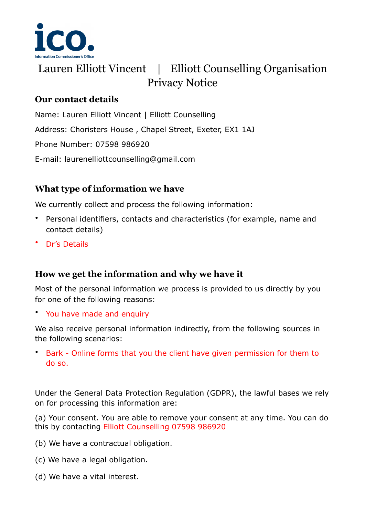

# Lauren Elliott Vincent | Elliott Counselling Organisation Privacy Notice

# **Our contact details**

Name: Lauren Elliott Vincent | Elliott Counselling Address: Choristers House , Chapel Street, Exeter, EX1 1AJ Phone Number: 07598 986920 E-mail: laurenelliottcounselling@gmail.com

# **What type of information we have**

We currently collect and process the following information:

- Personal identifiers, contacts and characteristics (for example, name and contact details)
- Dr's Details

## **How we get the information and why we have it**

Most of the personal information we process is provided to us directly by you for one of the following reasons:

• You have made and enquiry

We also receive personal information indirectly, from the following sources in the following scenarios:

• Bark - Online forms that you the client have given permission for them to do so.

Under the General Data Protection Regulation (GDPR), the lawful bases we rely on for processing this information are:

(a) Your consent. You are able to remove your consent at any time. You can do this by contacting Elliott Counselling 07598 986920

- (b) We have a contractual obligation.
- (c) We have a legal obligation.
- (d) We have a vital interest.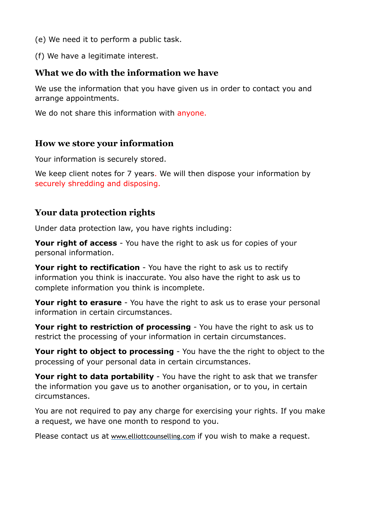- (e) We need it to perform a public task.
- (f) We have a legitimate interest.

### **What we do with the information we have**

We use the information that you have given us in order to contact you and arrange appointments.

We do not share this information with anyone.

#### **How we store your information**

Your information is securely stored.

We keep client notes for 7 years. We will then dispose your information by securely shredding and disposing.

### **Your data protection rights**

Under data protection law, you have rights including:

**Your right of access** - You have the right to ask us for copies of your personal information.

**Your right to rectification** - You have the right to ask us to rectify information you think is inaccurate. You also have the right to ask us to complete information you think is incomplete.

**Your right to erasure** - You have the right to ask us to erase your personal information in certain circumstances.

**Your right to restriction of processing** - You have the right to ask us to restrict the processing of your information in certain circumstances.

**Your right to object to processing** - You have the the right to object to the processing of your personal data in certain circumstances.

**Your right to data portability** - You have the right to ask that we transfer the information you gave us to another organisation, or to you, in certain circumstances.

You are not required to pay any charge for exercising your rights. If you make a request, we have one month to respond to you.

Please contact us at [www.elliottcounselling.com](http://www.elliottcounselling.com) if you wish to make a request.